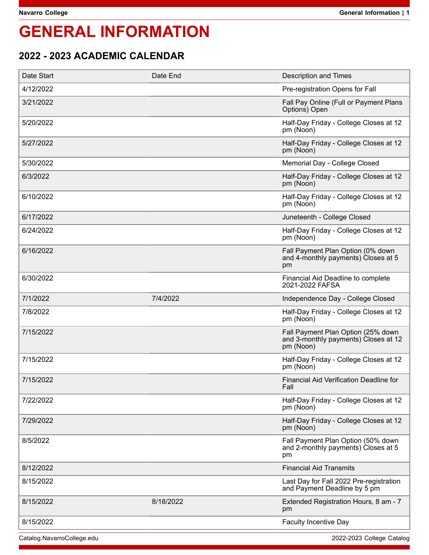# **GENERAL INFORMATION**

## **2022 - 2023 ACADEMIC CALENDAR**

| Date Start | Date End  | <b>Description and Times</b>                                                            |
|------------|-----------|-----------------------------------------------------------------------------------------|
| 4/12/2022  |           | Pre-registration Opens for Fall                                                         |
| 3/21/2022  |           | Fall Pay Online (Full or Payment Plans<br>Options) Open                                 |
| 5/20/2022  |           | Half-Day Friday - College Closes at 12<br>pm (Noon)                                     |
| 5/27/2022  |           | Half-Day Friday - College Closes at 12<br>pm (Noon)                                     |
| 5/30/2022  |           | Memorial Day - College Closed                                                           |
| 6/3/2022   |           | Half-Day Friday - College Closes at 12<br>pm (Noon)                                     |
| 6/10/2022  |           | Half-Day Friday - College Closes at 12<br>pm (Noon)                                     |
| 6/17/2022  |           | Juneteenth - College Closed                                                             |
| 6/24/2022  |           | Half-Day Friday - College Closes at 12<br>pm (Noon)                                     |
| 6/16/2022  |           | Fall Payment Plan Option (0% down<br>and 4-monthly payments) Closes at 5<br>pm          |
| 6/30/2022  |           | Financial Aid Deadline to complete<br>2021-2022 FAFSA                                   |
| 7/1/2022   | 7/4/2022  | Independence Day - College Closed                                                       |
| 7/8/2022   |           | Half-Day Friday - College Closes at 12<br>pm (Noon)                                     |
| 7/15/2022  |           | Fall Payment Plan Option (25% down<br>and 3-monthly payments) Closes at 12<br>pm (Noon) |
| 7/15/2022  |           | Half-Day Friday - College Closes at 12<br>pm (Noon)                                     |
| 7/15/2022  |           | <b>Financial Aid Verification Deadline for</b><br>Fall                                  |
| 7/22/2022  |           | Half-Day Friday - College Closes at 12<br>pm (Noon)                                     |
| 7/29/2022  |           | Half-Day Friday - College Closes at 12<br>pm (Noon)                                     |
| 8/5/2022   |           | Fall Payment Plan Option (50% down<br>and 2-monthly payments) Closes at 5<br>pm         |
| 8/12/2022  |           | <b>Financial Aid Transmits</b>                                                          |
| 8/15/2022  |           | Last Day for Fall 2022 Pre-registration<br>and Payment Deadline by 5 pm                 |
| 8/15/2022  | 8/18/2022 | Extended Registration Hours, 8 am - 7<br>pm                                             |
| 8/15/2022  |           | <b>Faculty Incentive Day</b>                                                            |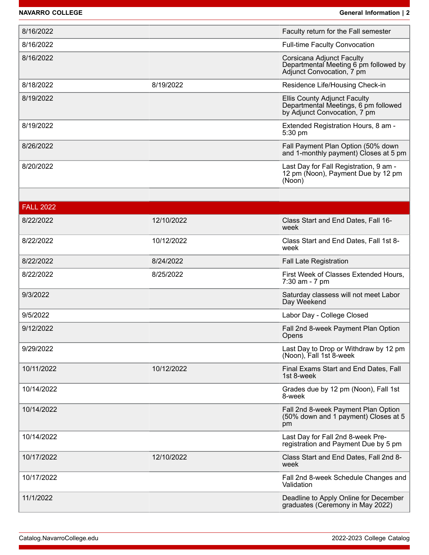**NAVARRO COLLEGE General Information | 2**

| 8/16/2022        |            | Faculty return for the Fall semester                                                                        |
|------------------|------------|-------------------------------------------------------------------------------------------------------------|
| 8/16/2022        |            | <b>Full-time Faculty Convocation</b>                                                                        |
| 8/16/2022        |            | Corsicana Adjunct Faculty<br>Departmental Meeting 6 pm followed by<br>Adjunct Convocation, 7 pm             |
| 8/18/2022        | 8/19/2022  | Residence Life/Housing Check-in                                                                             |
| 8/19/2022        |            | <b>Ellis County Adjunct Faculty</b><br>Departmental Meetings, 6 pm followed<br>by Adjunct Convocation, 7 pm |
| 8/19/2022        |            | Extended Registration Hours, 8 am -<br>5:30 pm                                                              |
| 8/26/2022        |            | Fall Payment Plan Option (50% down<br>and 1-monthly payment) Closes at 5 pm                                 |
| 8/20/2022        |            | Last Day for Fall Registration, 9 am -<br>12 pm (Noon), Payment Due by 12 pm<br>(Noon)                      |
|                  |            |                                                                                                             |
| <b>FALL 2022</b> |            |                                                                                                             |
| 8/22/2022        | 12/10/2022 | Class Start and End Dates, Fall 16-<br>week                                                                 |
| 8/22/2022        | 10/12/2022 | Class Start and End Dates, Fall 1st 8-<br>week                                                              |
| 8/22/2022        | 8/24/2022  | <b>Fall Late Registration</b>                                                                               |
| 8/22/2022        | 8/25/2022  | First Week of Classes Extended Hours,<br>7:30 am - 7 pm                                                     |
| 9/3/2022         |            | Saturday classess will not meet Labor<br>Day Weekend                                                        |
| 9/5/2022         |            | Labor Day - College Closed                                                                                  |
| 9/12/2022        |            | Fall 2nd 8-week Payment Plan Option<br>Opens                                                                |
| 9/29/2022        |            | Last Day to Drop or Withdraw by 12 pm<br>(Noon), Fall 1st 8-week                                            |
| 10/11/2022       | 10/12/2022 | Final Exams Start and End Dates, Fall<br>1st 8-week                                                         |
| 10/14/2022       |            | Grades due by 12 pm (Noon), Fall 1st<br>8-week                                                              |
| 10/14/2022       |            | Fall 2nd 8-week Payment Plan Option<br>(50% down and 1 payment) Closes at 5<br>pm                           |
| 10/14/2022       |            | Last Day for Fall 2nd 8-week Pre-<br>registration and Payment Due by 5 pm                                   |
| 10/17/2022       | 12/10/2022 | Class Start and End Dates, Fall 2nd 8-<br>week                                                              |
| 10/17/2022       |            | Fall 2nd 8-week Schedule Changes and<br>Validation                                                          |
| 11/1/2022        |            | Deadline to Apply Online for December<br>graduates (Ceremony in May 2022)                                   |
|                  |            |                                                                                                             |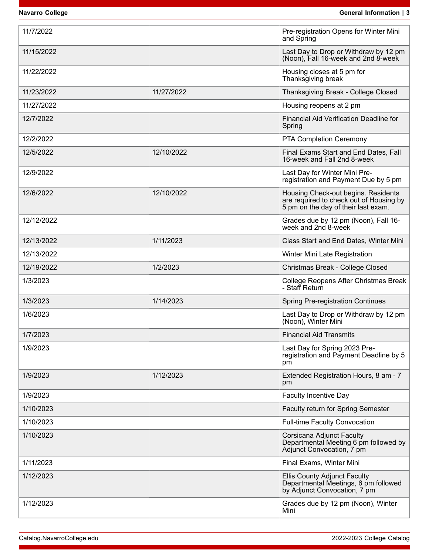**Navarro College General Information | 3** 

| 11/7/2022  |            | Pre-registration Opens for Winter Mini<br>and Spring                                                                  |
|------------|------------|-----------------------------------------------------------------------------------------------------------------------|
| 11/15/2022 |            | Last Day to Drop or Withdraw by 12 pm<br>(Noon), Fall 16-week and 2nd 8-week                                          |
| 11/22/2022 |            | Housing closes at 5 pm for<br>Thanksgiving break                                                                      |
| 11/23/2022 | 11/27/2022 | Thanksgiving Break - College Closed                                                                                   |
| 11/27/2022 |            | Housing reopens at 2 pm                                                                                               |
| 12/7/2022  |            | <b>Financial Aid Verification Deadline for</b><br>Spring                                                              |
| 12/2/2022  |            | PTA Completion Ceremony                                                                                               |
| 12/5/2022  | 12/10/2022 | Final Exams Start and End Dates, Fall<br>16-week and Fall 2nd 8-week                                                  |
| 12/9/2022  |            | Last Day for Winter Mini Pre-<br>registration and Payment Due by 5 pm                                                 |
| 12/6/2022  | 12/10/2022 | Housing Check-out begins. Residents<br>are required to check out of Housing by<br>5 pm on the day of their last exam. |
| 12/12/2022 |            | Grades due by 12 pm (Noon), Fall 16-<br>week and 2nd 8-week                                                           |
| 12/13/2022 | 1/11/2023  | Class Start and End Dates, Winter Mini                                                                                |
| 12/13/2022 |            | Winter Mini Late Registration                                                                                         |
| 12/19/2022 | 1/2/2023   | Christmas Break - College Closed                                                                                      |
| 1/3/2023   |            | College Reopens After Christmas Break<br>- Staff Return                                                               |
| 1/3/2023   | 1/14/2023  | <b>Spring Pre-registration Continues</b>                                                                              |
| 1/6/2023   |            | Last Day to Drop or Withdraw by 12 pm<br>(Noon), Winter Mini                                                          |
| 1/7/2023   |            | <b>Financial Aid Transmits</b>                                                                                        |
| 1/9/2023   |            | Last Day for Spring 2023 Pre-<br>registration and Payment Deadline by 5<br>pm                                         |
| 1/9/2023   | 1/12/2023  | Extended Registration Hours, 8 am - 7<br>pm                                                                           |
| 1/9/2023   |            | <b>Faculty Incentive Day</b>                                                                                          |
| 1/10/2023  |            | Faculty return for Spring Semester                                                                                    |
| 1/10/2023  |            | <b>Full-time Faculty Convocation</b>                                                                                  |
| 1/10/2023  |            | Corsicana Adjunct Faculty<br>Departmental Meeting 6 pm followed by<br>Adjunct Convocation, 7 pm                       |
| 1/11/2023  |            | Final Exams, Winter Mini                                                                                              |
| 1/12/2023  |            | <b>Ellis County Adjunct Faculty</b><br>Departmental Meetings, 6 pm followed<br>by Adjunct Convocation, 7 pm           |
| 1/12/2023  |            | Grades due by 12 pm (Noon), Winter<br>Mini                                                                            |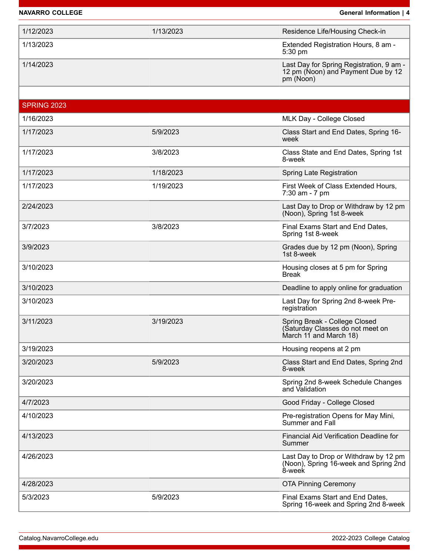### **NAVARRO COLLEGE General Information | 4**

| 1/12/2023          | 1/13/2023 | Residence Life/Housing Check-in                                                             |
|--------------------|-----------|---------------------------------------------------------------------------------------------|
| 1/13/2023          |           | Extended Registration Hours, 8 am -<br>5:30 pm                                              |
| 1/14/2023          |           | Last Day for Spring Registration, 9 am -<br>12 pm (Noon) and Payment Due by 12<br>pm (Noon) |
|                    |           |                                                                                             |
| <b>SPRING 2023</b> |           |                                                                                             |
| 1/16/2023          |           | MLK Day - College Closed                                                                    |
| 1/17/2023          | 5/9/2023  | Class Start and End Dates, Spring 16-<br>week                                               |
| 1/17/2023          | 3/8/2023  | Class State and End Dates, Spring 1st<br>8-week                                             |
| 1/17/2023          | 1/18/2023 | Spring Late Registration                                                                    |
| 1/17/2023          | 1/19/2023 | First Week of Class Extended Hours,<br>7:30 am - 7 pm                                       |
| 2/24/2023          |           | Last Day to Drop or Withdraw by 12 pm<br>(Noon), Spring 1st 8-week                          |
| 3/7/2023           | 3/8/2023  | Final Exams Start and End Dates,<br>Spring 1st 8-week                                       |
| 3/9/2023           |           | Grades due by 12 pm (Noon), Spring<br>1st 8-week                                            |
| 3/10/2023          |           | Housing closes at 5 pm for Spring<br><b>Break</b>                                           |
| 3/10/2023          |           | Deadline to apply online for graduation                                                     |
| 3/10/2023          |           | Last Day for Spring 2nd 8-week Pre-<br>registration                                         |
| 3/11/2023          | 3/19/2023 | Spring Break - College Closed<br>(Saturday Classes do not meet on<br>March 11 and March 18) |
| 3/19/2023          |           | Housing reopens at 2 pm                                                                     |
| 3/20/2023          | 5/9/2023  | Class Start and End Dates, Spring 2nd<br>8-week                                             |
| 3/20/2023          |           | Spring 2nd 8-week Schedule Changes<br>and Validation                                        |
| 4/7/2023           |           | Good Friday - College Closed                                                                |
| 4/10/2023          |           | Pre-registration Opens for May Mini,<br>Summer and Fall                                     |
| 4/13/2023          |           | <b>Financial Aid Verification Deadline for</b><br>Summer                                    |
| 4/26/2023          |           | Last Day to Drop or Withdraw by 12 pm<br>(Noon), Spring 16-week and Spring 2nd<br>8-week    |
| 4/28/2023          |           | <b>OTA Pinning Ceremony</b>                                                                 |
| 5/3/2023           | 5/9/2023  | Final Exams Start and End Dates,<br>Spring 16-week and Spring 2nd 8-week                    |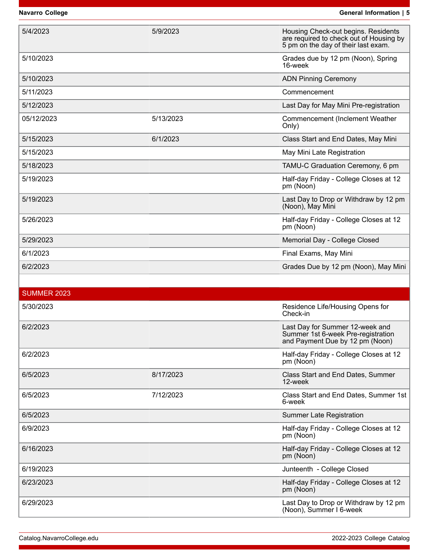| 5/4/2023           | 5/9/2023  | Housing Check-out begins. Residents<br>are required to check out of Housing by<br>5 pm on the day of their last exam. |
|--------------------|-----------|-----------------------------------------------------------------------------------------------------------------------|
| 5/10/2023          |           | Grades due by 12 pm (Noon), Spring<br>16-week                                                                         |
| 5/10/2023          |           | <b>ADN Pinning Ceremony</b>                                                                                           |
| 5/11/2023          |           | Commencement                                                                                                          |
| 5/12/2023          |           | Last Day for May Mini Pre-registration                                                                                |
| 05/12/2023         | 5/13/2023 | Commencement (Inclement Weather<br>Only)                                                                              |
| 5/15/2023          | 6/1/2023  | Class Start and End Dates, May Mini                                                                                   |
| 5/15/2023          |           | May Mini Late Registration                                                                                            |
| 5/18/2023          |           | TAMU-C Graduation Ceremony, 6 pm                                                                                      |
| 5/19/2023          |           | Half-day Friday - College Closes at 12<br>pm (Noon)                                                                   |
| 5/19/2023          |           | Last Day to Drop or Withdraw by 12 pm<br>(Noon), May Mini                                                             |
| 5/26/2023          |           | Half-day Friday - College Closes at 12<br>pm (Noon)                                                                   |
| 5/29/2023          |           | Memorial Day - College Closed                                                                                         |
| 6/1/2023           |           | Final Exams, May Mini                                                                                                 |
| 6/2/2023           |           | Grades Due by 12 pm (Noon), May Mini                                                                                  |
|                    |           |                                                                                                                       |
| <b>SUMMER 2023</b> |           |                                                                                                                       |
| 5/30/2023          |           | Residence Life/Housing Opens for<br>Check-in                                                                          |
| 6/2/2023           |           | Last Day for Summer 12-week and<br>Summer 1st 6-week Pre-registration<br>and Payment Due by 12 pm (Noon)              |
| 6/2/2023           |           | Half-day Friday - College Closes at 12<br>pm (Noon)                                                                   |
| 6/5/2023           | 8/17/2023 | Class Start and End Dates, Summer<br>12-week                                                                          |
| 6/5/2023           | 7/12/2023 | Class Start and End Dates, Summer 1st<br>6-week                                                                       |
| 6/5/2023           |           | <b>Summer Late Registration</b>                                                                                       |
| 6/9/2023           |           | Half-day Friday - College Closes at 12<br>pm (Noon)                                                                   |
| 6/16/2023          |           | Half-day Friday - College Closes at 12<br>pm (Noon)                                                                   |
| 6/19/2023          |           | Junteenth - College Closed                                                                                            |
| 6/23/2023          |           | Half-day Friday - College Closes at 12<br>pm (Noon)                                                                   |
| 6/29/2023          |           | Last Day to Drop or Withdraw by 12 pm<br>(Noon), Summer I 6-week                                                      |